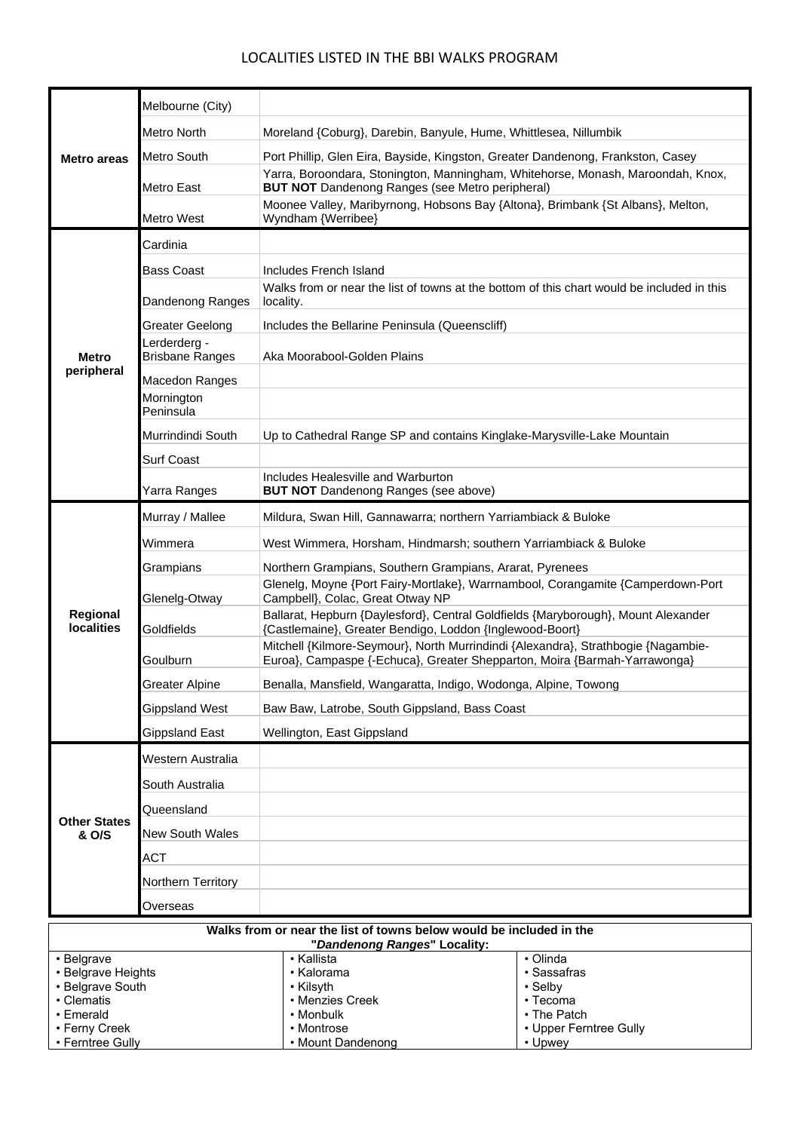## LOCALITIES LISTED IN THE BBI WALKS PROGRAM

| <b>Metro areas</b>                                                                                  | Melbourne (City)                          |                                                                                                                                                                                                          |                                       |
|-----------------------------------------------------------------------------------------------------|-------------------------------------------|----------------------------------------------------------------------------------------------------------------------------------------------------------------------------------------------------------|---------------------------------------|
|                                                                                                     | Metro North                               | Moreland {Coburg}, Darebin, Banyule, Hume, Whittlesea, Nillumbik                                                                                                                                         |                                       |
|                                                                                                     | Metro South                               | Port Phillip, Glen Eira, Bayside, Kingston, Greater Dandenong, Frankston, Casey                                                                                                                          |                                       |
|                                                                                                     | Metro East                                | Yarra, Boroondara, Stonington, Manningham, Whitehorse, Monash, Maroondah, Knox,<br><b>BUT NOT</b> Dandenong Ranges (see Metro peripheral)                                                                |                                       |
|                                                                                                     | Metro West                                | Moonee Valley, Maribyrnong, Hobsons Bay {Altona}, Brimbank {St Albans}, Melton,<br>Wyndham {Werribee}                                                                                                    |                                       |
| <b>Metro</b><br>peripheral                                                                          | Cardinia                                  |                                                                                                                                                                                                          |                                       |
|                                                                                                     | <b>Bass Coast</b>                         | Includes French Island                                                                                                                                                                                   |                                       |
|                                                                                                     | Dandenong Ranges                          | Walks from or near the list of towns at the bottom of this chart would be included in this<br>locality.                                                                                                  |                                       |
|                                                                                                     | Greater Geelong                           | Includes the Bellarine Peninsula (Queenscliff)                                                                                                                                                           |                                       |
|                                                                                                     | Lerderderg -<br><b>Brisbane Ranges</b>    | Aka Moorabool-Golden Plains                                                                                                                                                                              |                                       |
|                                                                                                     | Macedon Ranges<br>Mornington<br>Peninsula |                                                                                                                                                                                                          |                                       |
|                                                                                                     | Murrindindi South                         | Up to Cathedral Range SP and contains Kinglake-Marysville-Lake Mountain                                                                                                                                  |                                       |
|                                                                                                     | <b>Surf Coast</b>                         |                                                                                                                                                                                                          |                                       |
|                                                                                                     | Yarra Ranges                              | Includes Healesville and Warburton<br><b>BUT NOT</b> Dandenong Ranges (see above)                                                                                                                        |                                       |
| Regional<br><b>localities</b>                                                                       | Murray / Mallee                           | Mildura, Swan Hill, Gannawarra; northern Yarriambiack & Buloke                                                                                                                                           |                                       |
|                                                                                                     | Wimmera                                   | West Wimmera, Horsham, Hindmarsh; southern Yarriambiack & Buloke                                                                                                                                         |                                       |
|                                                                                                     | Grampians                                 | Northern Grampians, Southern Grampians, Ararat, Pyrenees                                                                                                                                                 |                                       |
|                                                                                                     | Glenelg-Otway                             | Glenelg, Moyne {Port Fairy-Mortlake}, Warrnambool, Corangamite {Camperdown-Port<br>Campbell}, Colac, Great Otway NP<br>Ballarat, Hepburn {Daylesford}, Central Goldfields {Maryborough}, Mount Alexander |                                       |
|                                                                                                     | Goldfields                                | {Castlemaine}, Greater Bendigo, Loddon {Inglewood-Boort}                                                                                                                                                 |                                       |
|                                                                                                     | Goulburn                                  | Mitchell {Kilmore-Seymour}, North Murrindindi {Alexandra}, Strathbogie {Nagambie-<br>Euroa}, Campaspe {-Echuca}, Greater Shepparton, Moira {Barmah-Yarrawonga}                                           |                                       |
|                                                                                                     | <b>Greater Alpine</b>                     | Benalla, Mansfield, Wangaratta, Indigo, Wodonga, Alpine, Towong                                                                                                                                          |                                       |
|                                                                                                     | <b>Gippsland West</b>                     | Baw Baw, Latrobe, South Gippsland, Bass Coast                                                                                                                                                            |                                       |
|                                                                                                     | <b>Gippsland East</b>                     | Wellington, East Gippsland                                                                                                                                                                               |                                       |
| <b>Other States</b><br>& O/S                                                                        | Western Australia                         |                                                                                                                                                                                                          |                                       |
|                                                                                                     | South Australia                           |                                                                                                                                                                                                          |                                       |
|                                                                                                     | Queensland                                |                                                                                                                                                                                                          |                                       |
|                                                                                                     | <b>New South Wales</b>                    |                                                                                                                                                                                                          |                                       |
|                                                                                                     | ACT                                       |                                                                                                                                                                                                          |                                       |
|                                                                                                     | Northern Territory                        |                                                                                                                                                                                                          |                                       |
| Overseas                                                                                            |                                           |                                                                                                                                                                                                          |                                       |
| Walks from or near the list of towns below would be included in the<br>"Dandenong Ranges" Locality: |                                           |                                                                                                                                                                                                          |                                       |
| • Kallista<br>• Olinda<br>• Belgrave<br>• Belgrave Heights<br>• Kalorama                            |                                           |                                                                                                                                                                                                          | • Sassafras                           |
| • Belgrave South                                                                                    |                                           | • Kilsyth                                                                                                                                                                                                | • Selby                               |
| • Clematis                                                                                          |                                           | • Menzies Creek                                                                                                                                                                                          | • Tecoma                              |
| • Emerald<br>• Ferny Creek                                                                          |                                           | • Monbulk<br>• Montrose                                                                                                                                                                                  | • The Patch<br>• Upper Ferntree Gully |
| • Ferntree Gully                                                                                    |                                           | • Mount Dandenong                                                                                                                                                                                        | • Upwey                               |